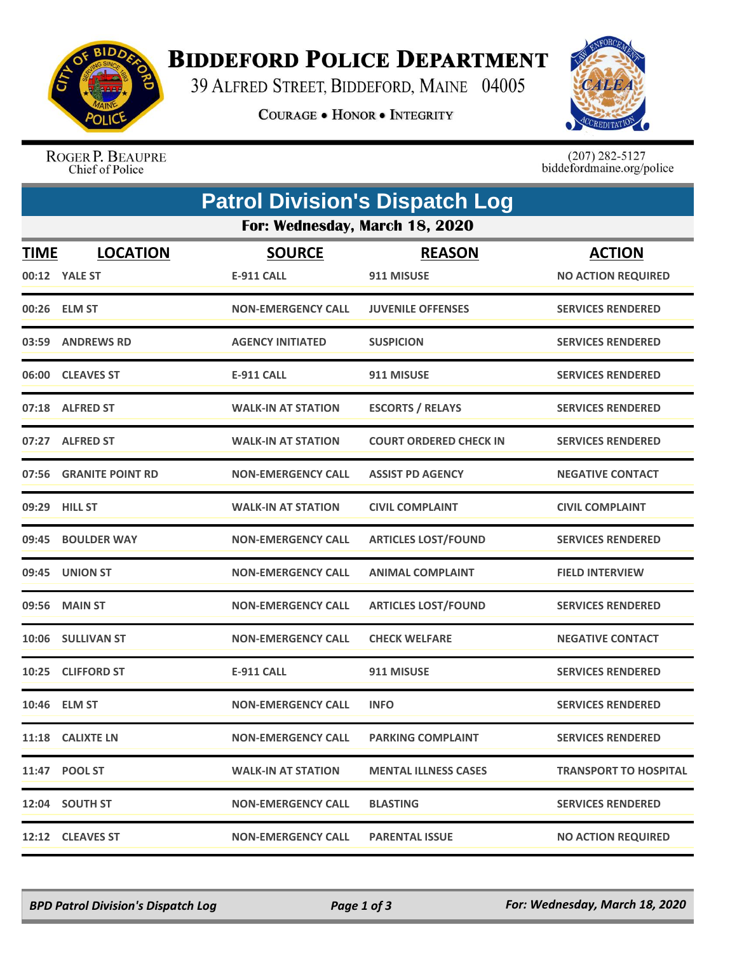

## **BIDDEFORD POLICE DEPARTMENT**

39 ALFRED STREET, BIDDEFORD, MAINE 04005

**COURAGE . HONOR . INTEGRITY** 



ROGER P. BEAUPRE<br>Chief of Police

 $(207)$  282-5127<br>biddefordmaine.org/police

|                                | <b>Patrol Division's Dispatch Log</b> |                           |                               |                              |  |  |  |
|--------------------------------|---------------------------------------|---------------------------|-------------------------------|------------------------------|--|--|--|
| For: Wednesday, March 18, 2020 |                                       |                           |                               |                              |  |  |  |
| <b>TIME</b>                    | <b>LOCATION</b>                       | <b>SOURCE</b>             | <b>REASON</b>                 | <b>ACTION</b>                |  |  |  |
|                                | 00:12 YALE ST                         | <b>E-911 CALL</b>         | 911 MISUSE                    | <b>NO ACTION REQUIRED</b>    |  |  |  |
|                                | 00:26 ELM ST                          | <b>NON-EMERGENCY CALL</b> | <b>JUVENILE OFFENSES</b>      | <b>SERVICES RENDERED</b>     |  |  |  |
|                                | 03:59 ANDREWS RD                      | <b>AGENCY INITIATED</b>   | <b>SUSPICION</b>              | <b>SERVICES RENDERED</b>     |  |  |  |
|                                | 06:00 CLEAVES ST                      | <b>E-911 CALL</b>         | 911 MISUSE                    | <b>SERVICES RENDERED</b>     |  |  |  |
|                                | 07:18 ALFRED ST                       | <b>WALK-IN AT STATION</b> | <b>ESCORTS / RELAYS</b>       | <b>SERVICES RENDERED</b>     |  |  |  |
|                                | 07:27 ALFRED ST                       | <b>WALK-IN AT STATION</b> | <b>COURT ORDERED CHECK IN</b> | <b>SERVICES RENDERED</b>     |  |  |  |
|                                | 07:56 GRANITE POINT RD                | <b>NON-EMERGENCY CALL</b> | <b>ASSIST PD AGENCY</b>       | <b>NEGATIVE CONTACT</b>      |  |  |  |
|                                | 09:29 HILL ST                         | <b>WALK-IN AT STATION</b> | <b>CIVIL COMPLAINT</b>        | <b>CIVIL COMPLAINT</b>       |  |  |  |
| 09:45                          | <b>BOULDER WAY</b>                    | <b>NON-EMERGENCY CALL</b> | <b>ARTICLES LOST/FOUND</b>    | <b>SERVICES RENDERED</b>     |  |  |  |
|                                | 09:45 UNION ST                        | <b>NON-EMERGENCY CALL</b> | <b>ANIMAL COMPLAINT</b>       | <b>FIELD INTERVIEW</b>       |  |  |  |
| 09:56                          | <b>MAIN ST</b>                        | <b>NON-EMERGENCY CALL</b> | <b>ARTICLES LOST/FOUND</b>    | <b>SERVICES RENDERED</b>     |  |  |  |
|                                | 10:06 SULLIVAN ST                     | <b>NON-EMERGENCY CALL</b> | <b>CHECK WELFARE</b>          | <b>NEGATIVE CONTACT</b>      |  |  |  |
|                                | 10:25 CLIFFORD ST                     | <b>E-911 CALL</b>         | 911 MISUSE                    | <b>SERVICES RENDERED</b>     |  |  |  |
|                                | 10:46 ELM ST                          | <b>NON-EMERGENCY CALL</b> | <b>INFO</b>                   | <b>SERVICES RENDERED</b>     |  |  |  |
|                                | 11:18 CALIXTE LN                      | <b>NON-EMERGENCY CALL</b> | <b>PARKING COMPLAINT</b>      | <b>SERVICES RENDERED</b>     |  |  |  |
|                                | 11:47 POOL ST                         | <b>WALK-IN AT STATION</b> | <b>MENTAL ILLNESS CASES</b>   | <b>TRANSPORT TO HOSPITAL</b> |  |  |  |
|                                | 12:04 SOUTH ST                        | <b>NON-EMERGENCY CALL</b> | <b>BLASTING</b>               | <b>SERVICES RENDERED</b>     |  |  |  |
|                                | 12:12 CLEAVES ST                      | <b>NON-EMERGENCY CALL</b> | <b>PARENTAL ISSUE</b>         | <b>NO ACTION REQUIRED</b>    |  |  |  |

*BPD Patrol Division's Dispatch Log Page 1 of 3 For: Wednesday, March 18, 2020*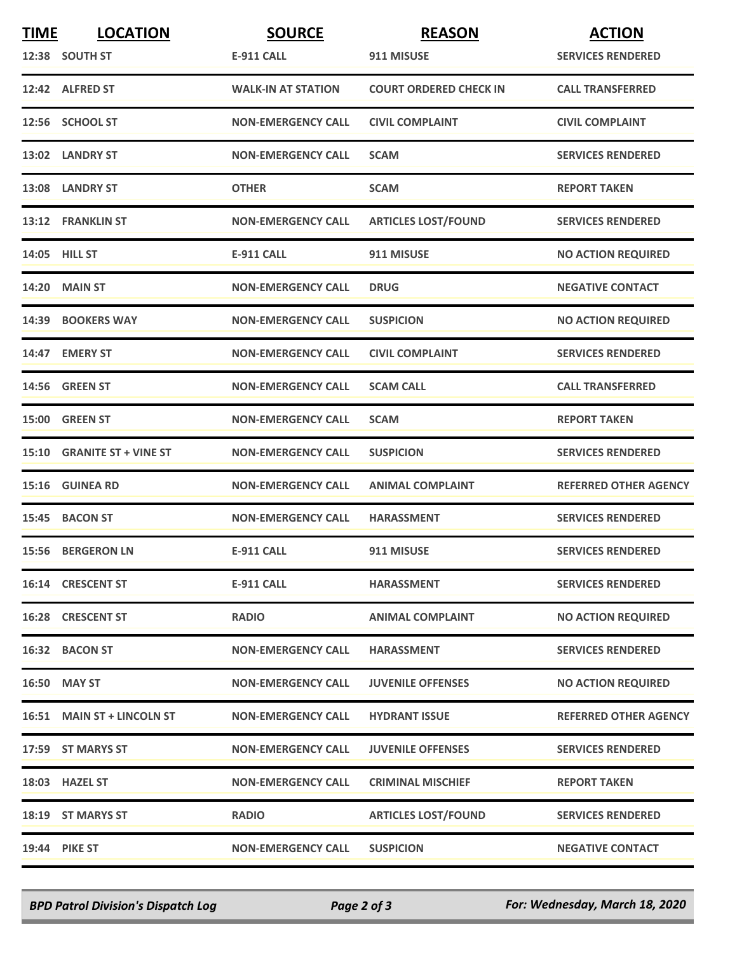| <b>TIME</b> | <b>LOCATION</b>            | <b>SOURCE</b>             | <b>REASON</b>                 | <b>ACTION</b>                |
|-------------|----------------------------|---------------------------|-------------------------------|------------------------------|
|             | 12:38 SOUTH ST             | <b>E-911 CALL</b>         | 911 MISUSE                    | <b>SERVICES RENDERED</b>     |
|             | 12:42 ALFRED ST            | <b>WALK-IN AT STATION</b> | <b>COURT ORDERED CHECK IN</b> | <b>CALL TRANSFERRED</b>      |
|             | 12:56 SCHOOL ST            | <b>NON-EMERGENCY CALL</b> | <b>CIVIL COMPLAINT</b>        | <b>CIVIL COMPLAINT</b>       |
|             | 13:02 LANDRY ST            | <b>NON-EMERGENCY CALL</b> | <b>SCAM</b>                   | <b>SERVICES RENDERED</b>     |
|             | 13:08 LANDRY ST            | <b>OTHER</b>              | <b>SCAM</b>                   | <b>REPORT TAKEN</b>          |
|             | 13:12 FRANKLIN ST          | <b>NON-EMERGENCY CALL</b> | <b>ARTICLES LOST/FOUND</b>    | <b>SERVICES RENDERED</b>     |
|             | <b>14:05 HILL ST</b>       | <b>E-911 CALL</b>         | 911 MISUSE                    | <b>NO ACTION REQUIRED</b>    |
|             | <b>14:20 MAIN ST</b>       | <b>NON-EMERGENCY CALL</b> | <b>DRUG</b>                   | <b>NEGATIVE CONTACT</b>      |
|             | 14:39 BOOKERS WAY          | <b>NON-EMERGENCY CALL</b> | <b>SUSPICION</b>              | <b>NO ACTION REQUIRED</b>    |
|             | 14:47 EMERY ST             | <b>NON-EMERGENCY CALL</b> | <b>CIVIL COMPLAINT</b>        | <b>SERVICES RENDERED</b>     |
|             | <b>14:56 GREEN ST</b>      | <b>NON-EMERGENCY CALL</b> | <b>SCAM CALL</b>              | <b>CALL TRANSFERRED</b>      |
|             | 15:00 GREEN ST             | <b>NON-EMERGENCY CALL</b> | <b>SCAM</b>                   | <b>REPORT TAKEN</b>          |
|             | 15:10 GRANITE ST + VINE ST | <b>NON-EMERGENCY CALL</b> | <b>SUSPICION</b>              | <b>SERVICES RENDERED</b>     |
|             | 15:16 GUINEA RD            | <b>NON-EMERGENCY CALL</b> | <b>ANIMAL COMPLAINT</b>       | <b>REFERRED OTHER AGENCY</b> |
|             | 15:45 BACON ST             | <b>NON-EMERGENCY CALL</b> | <b>HARASSMENT</b>             | <b>SERVICES RENDERED</b>     |
|             | <b>15:56 BERGERON LN</b>   | <b>E-911 CALL</b>         | 911 MISUSE                    | <b>SERVICES RENDERED</b>     |
|             | 16:14 CRESCENT ST          | <b>E-911 CALL</b>         | <b>HARASSMENT</b>             | <b>SERVICES RENDERED</b>     |
|             | 16:28 CRESCENT ST          | <b>RADIO</b>              | <b>ANIMAL COMPLAINT</b>       | <b>NO ACTION REQUIRED</b>    |
|             | 16:32 BACON ST             | <b>NON-EMERGENCY CALL</b> | <b>HARASSMENT</b>             | <b>SERVICES RENDERED</b>     |
|             | 16:50 MAY ST               | <b>NON-EMERGENCY CALL</b> | <b>JUVENILE OFFENSES</b>      | <b>NO ACTION REQUIRED</b>    |
|             | 16:51 MAIN ST + LINCOLN ST | <b>NON-EMERGENCY CALL</b> | <b>HYDRANT ISSUE</b>          | <b>REFERRED OTHER AGENCY</b> |
|             | 17:59 ST MARYS ST          | <b>NON-EMERGENCY CALL</b> | <b>JUVENILE OFFENSES</b>      | <b>SERVICES RENDERED</b>     |
|             | 18:03 HAZEL ST             | <b>NON-EMERGENCY CALL</b> | <b>CRIMINAL MISCHIEF</b>      | <b>REPORT TAKEN</b>          |
|             | 18:19 ST MARYS ST          | <b>RADIO</b>              | <b>ARTICLES LOST/FOUND</b>    | <b>SERVICES RENDERED</b>     |
|             | <b>19:44 PIKE ST</b>       | <b>NON-EMERGENCY CALL</b> | <b>SUSPICION</b>              | <b>NEGATIVE CONTACT</b>      |

*BPD Patrol Division's Dispatch Log Page 2 of 3 For: Wednesday, March 18, 2020*